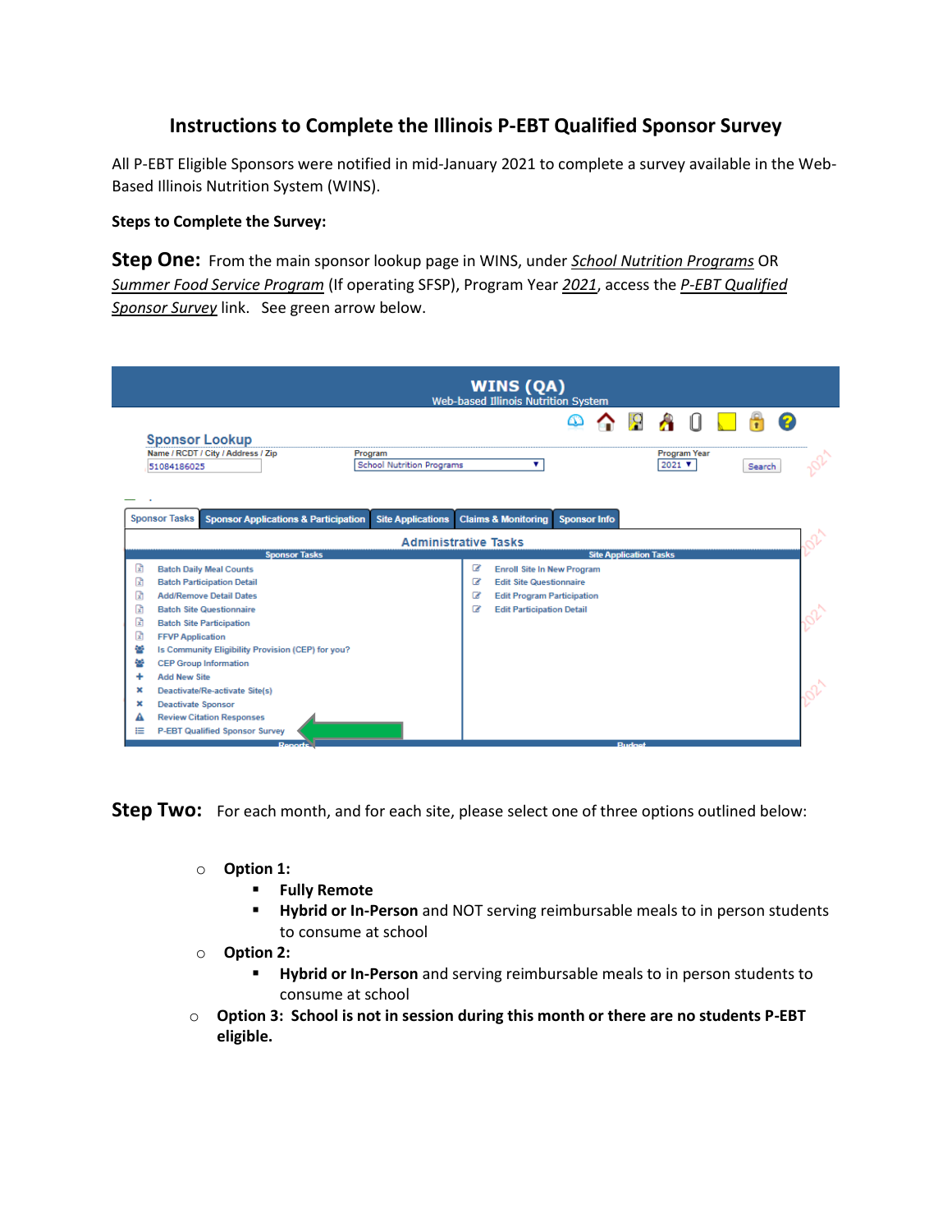## **Instructions to Complete the Illinois P-EBT Qualified Sponsor Survey**

All P-EBT Eligible Sponsors were notified in mid-January 2021 to complete a survey available in the Web-Based Illinois Nutrition System (WINS).

## **Steps to Complete the Survey:**

**Step One:** From the main sponsor lookup page in WINS, under *School Nutrition Programs* OR *Summer Food Service Program* (If operating SFSP), Program Year *2021*, access the *P-EBT Qualified Sponsor Survey* link. See green arrow below.

| <u>io</u><br>ది<br><b>Sponsor Lookup</b><br><b>Program Year</b><br>Name / RCDT / City / Address / Zip<br>Program<br><b>School Nutrition Programs</b><br>۷<br>$2021$ $V$<br>Search<br>51084186025<br><b>Sponsor Tasks</b><br><b>Claims &amp; Monitoring</b><br><b>Sponsor Applications &amp; Participation</b><br><b>Site Applications</b><br><b>Sponsor Info</b><br><b>Administrative Tasks</b><br><b>Sponsor Tasks</b><br><b>Site Application Tasks</b><br>団<br>☞<br><b>Batch Daily Meal Counts</b><br><b>Enroll Site In New Program</b><br>R<br><b>Edit Site Questionnaire</b><br><b>Batch Participation Detail</b><br>☞<br>œ<br><b>Add/Remove Detail Dates</b><br>☞<br><b>Edit Program Participation</b><br>R<br><b>Batch Site Questionnaire</b><br>☞<br><b>Edit Participation Detail</b><br>团<br><b>Batch Site Participation</b><br>団<br><b>FFVP Application</b><br>쇝<br>Is Community Eligibility Provision (CEP) for you?<br><b>CEP Group Information</b><br><b>Add New Site</b><br>Deactivate/Re-activate Site(s)<br>×<br><b>Deactivate Sponsor</b><br>×<br><b>Review Citation Responses</b><br><b>P-EBT Qualified Sponsor Survey</b><br>⋿ | <b>WINS (QA)</b><br><b>Web-based Illinois Nutrition System</b> |  |  |  |  |  |  |  |  |  |  |  |  |  |  |  |  |  |  |
|--------------------------------------------------------------------------------------------------------------------------------------------------------------------------------------------------------------------------------------------------------------------------------------------------------------------------------------------------------------------------------------------------------------------------------------------------------------------------------------------------------------------------------------------------------------------------------------------------------------------------------------------------------------------------------------------------------------------------------------------------------------------------------------------------------------------------------------------------------------------------------------------------------------------------------------------------------------------------------------------------------------------------------------------------------------------------------------------------------------------------------------------------|----------------------------------------------------------------|--|--|--|--|--|--|--|--|--|--|--|--|--|--|--|--|--|--|
|                                                                                                                                                                                                                                                                                                                                                                                                                                                                                                                                                                                                                                                                                                                                                                                                                                                                                                                                                                                                                                                                                                                                                  |                                                                |  |  |  |  |  |  |  |  |  |  |  |  |  |  |  |  |  |  |
|                                                                                                                                                                                                                                                                                                                                                                                                                                                                                                                                                                                                                                                                                                                                                                                                                                                                                                                                                                                                                                                                                                                                                  |                                                                |  |  |  |  |  |  |  |  |  |  |  |  |  |  |  |  |  |  |
|                                                                                                                                                                                                                                                                                                                                                                                                                                                                                                                                                                                                                                                                                                                                                                                                                                                                                                                                                                                                                                                                                                                                                  |                                                                |  |  |  |  |  |  |  |  |  |  |  |  |  |  |  |  |  |  |
|                                                                                                                                                                                                                                                                                                                                                                                                                                                                                                                                                                                                                                                                                                                                                                                                                                                                                                                                                                                                                                                                                                                                                  |                                                                |  |  |  |  |  |  |  |  |  |  |  |  |  |  |  |  |  |  |
|                                                                                                                                                                                                                                                                                                                                                                                                                                                                                                                                                                                                                                                                                                                                                                                                                                                                                                                                                                                                                                                                                                                                                  |                                                                |  |  |  |  |  |  |  |  |  |  |  |  |  |  |  |  |  |  |
|                                                                                                                                                                                                                                                                                                                                                                                                                                                                                                                                                                                                                                                                                                                                                                                                                                                                                                                                                                                                                                                                                                                                                  |                                                                |  |  |  |  |  |  |  |  |  |  |  |  |  |  |  |  |  |  |
|                                                                                                                                                                                                                                                                                                                                                                                                                                                                                                                                                                                                                                                                                                                                                                                                                                                                                                                                                                                                                                                                                                                                                  |                                                                |  |  |  |  |  |  |  |  |  |  |  |  |  |  |  |  |  |  |
|                                                                                                                                                                                                                                                                                                                                                                                                                                                                                                                                                                                                                                                                                                                                                                                                                                                                                                                                                                                                                                                                                                                                                  |                                                                |  |  |  |  |  |  |  |  |  |  |  |  |  |  |  |  |  |  |
|                                                                                                                                                                                                                                                                                                                                                                                                                                                                                                                                                                                                                                                                                                                                                                                                                                                                                                                                                                                                                                                                                                                                                  |                                                                |  |  |  |  |  |  |  |  |  |  |  |  |  |  |  |  |  |  |
|                                                                                                                                                                                                                                                                                                                                                                                                                                                                                                                                                                                                                                                                                                                                                                                                                                                                                                                                                                                                                                                                                                                                                  |                                                                |  |  |  |  |  |  |  |  |  |  |  |  |  |  |  |  |  |  |
|                                                                                                                                                                                                                                                                                                                                                                                                                                                                                                                                                                                                                                                                                                                                                                                                                                                                                                                                                                                                                                                                                                                                                  |                                                                |  |  |  |  |  |  |  |  |  |  |  |  |  |  |  |  |  |  |
|                                                                                                                                                                                                                                                                                                                                                                                                                                                                                                                                                                                                                                                                                                                                                                                                                                                                                                                                                                                                                                                                                                                                                  |                                                                |  |  |  |  |  |  |  |  |  |  |  |  |  |  |  |  |  |  |
|                                                                                                                                                                                                                                                                                                                                                                                                                                                                                                                                                                                                                                                                                                                                                                                                                                                                                                                                                                                                                                                                                                                                                  |                                                                |  |  |  |  |  |  |  |  |  |  |  |  |  |  |  |  |  |  |
|                                                                                                                                                                                                                                                                                                                                                                                                                                                                                                                                                                                                                                                                                                                                                                                                                                                                                                                                                                                                                                                                                                                                                  |                                                                |  |  |  |  |  |  |  |  |  |  |  |  |  |  |  |  |  |  |
|                                                                                                                                                                                                                                                                                                                                                                                                                                                                                                                                                                                                                                                                                                                                                                                                                                                                                                                                                                                                                                                                                                                                                  |                                                                |  |  |  |  |  |  |  |  |  |  |  |  |  |  |  |  |  |  |
|                                                                                                                                                                                                                                                                                                                                                                                                                                                                                                                                                                                                                                                                                                                                                                                                                                                                                                                                                                                                                                                                                                                                                  |                                                                |  |  |  |  |  |  |  |  |  |  |  |  |  |  |  |  |  |  |
|                                                                                                                                                                                                                                                                                                                                                                                                                                                                                                                                                                                                                                                                                                                                                                                                                                                                                                                                                                                                                                                                                                                                                  |                                                                |  |  |  |  |  |  |  |  |  |  |  |  |  |  |  |  |  |  |
|                                                                                                                                                                                                                                                                                                                                                                                                                                                                                                                                                                                                                                                                                                                                                                                                                                                                                                                                                                                                                                                                                                                                                  |                                                                |  |  |  |  |  |  |  |  |  |  |  |  |  |  |  |  |  |  |

**Step Two:** For each month, and for each site, please select one of three options outlined below:

- o **Option 1:** 
	- **Fully Remote**
	- **Hybrid or In-Person** and NOT serving reimbursable meals to in person students to consume at school
- o **Option 2:** 
	- **Hybrid or In-Person** and serving reimbursable meals to in person students to consume at school
- o **Option 3: School is not in session during this month or there are no students P-EBT eligible.**